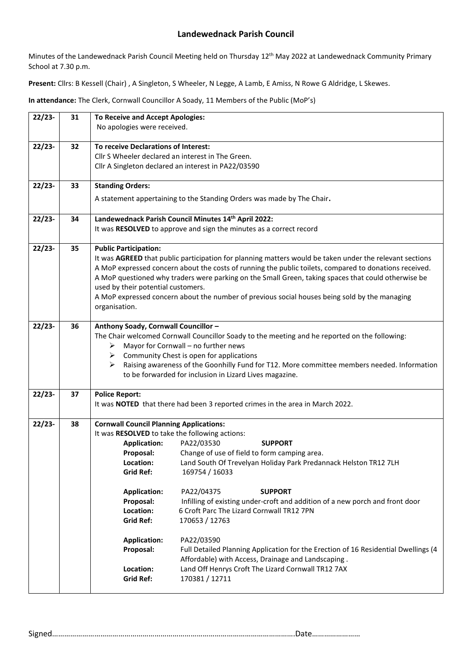Minutes of the Landewednack Parish Council Meeting held on Thursday 12th May 2022 at Landewednack Community Primary School at 7.30 p.m.

**Present:** Cllrs: B Kessell (Chair) , A Singleton, S Wheeler, N Legge, A Lamb, E Amiss, N Rowe G Aldridge, L Skewes.

**In attendance:** The Clerk, Cornwall Councillor A Soady, 11 Members of the Public (MoP's)

| $22/23-$ | 31 | <b>To Receive and Accept Apologies:</b><br>No apologies were received.                                                                                                                                                                                                                                                                                                                                                                                                                                                                                                                                                                                                                                                                                                                                                                                                                                 |  |  |
|----------|----|--------------------------------------------------------------------------------------------------------------------------------------------------------------------------------------------------------------------------------------------------------------------------------------------------------------------------------------------------------------------------------------------------------------------------------------------------------------------------------------------------------------------------------------------------------------------------------------------------------------------------------------------------------------------------------------------------------------------------------------------------------------------------------------------------------------------------------------------------------------------------------------------------------|--|--|
| $22/23-$ | 32 | To receive Declarations of Interest:<br>Cllr S Wheeler declared an interest in The Green.<br>Cllr A Singleton declared an interest in PA22/03590                                                                                                                                                                                                                                                                                                                                                                                                                                                                                                                                                                                                                                                                                                                                                       |  |  |
| $22/23-$ | 33 | <b>Standing Orders:</b><br>A statement appertaining to the Standing Orders was made by The Chair.                                                                                                                                                                                                                                                                                                                                                                                                                                                                                                                                                                                                                                                                                                                                                                                                      |  |  |
| $22/23-$ | 34 | Landewednack Parish Council Minutes 14th April 2022:<br>It was RESOLVED to approve and sign the minutes as a correct record                                                                                                                                                                                                                                                                                                                                                                                                                                                                                                                                                                                                                                                                                                                                                                            |  |  |
| $22/23-$ | 35 | <b>Public Participation:</b><br>It was AGREED that public participation for planning matters would be taken under the relevant sections<br>A MoP expressed concern about the costs of running the public toilets, compared to donations received.<br>A MoP questioned why traders were parking on the Small Green, taking spaces that could otherwise be<br>used by their potential customers.<br>A MoP expressed concern about the number of previous social houses being sold by the managing<br>organisation.                                                                                                                                                                                                                                                                                                                                                                                       |  |  |
| $22/23-$ | 36 | Anthony Soady, Cornwall Councillor -<br>The Chair welcomed Cornwall Councillor Soady to the meeting and he reported on the following:<br>Mayor for Cornwall - no further news<br>➤<br>Community Chest is open for applications<br>➤<br>Raising awareness of the Goonhilly Fund for T12. More committee members needed. Information<br>➤<br>to be forwarded for inclusion in Lizard Lives magazine.                                                                                                                                                                                                                                                                                                                                                                                                                                                                                                     |  |  |
| $22/23-$ | 37 | <b>Police Report:</b><br>It was NOTED that there had been 3 reported crimes in the area in March 2022.                                                                                                                                                                                                                                                                                                                                                                                                                                                                                                                                                                                                                                                                                                                                                                                                 |  |  |
| $22/23-$ | 38 | <b>Cornwall Council Planning Applications:</b><br>It was RESOLVED to take the following actions:<br>PA22/03530<br><b>Application:</b><br><b>SUPPORT</b><br>Change of use of field to form camping area.<br>Proposal:<br>Land South Of Trevelyan Holiday Park Predannack Helston TR12 7LH<br>Location:<br><b>Grid Ref:</b><br>169754 / 16033<br><b>Application:</b><br>PA22/04375<br><b>SUPPORT</b><br>Infilling of existing under-croft and addition of a new porch and front door<br>Proposal:<br>6 Croft Parc The Lizard Cornwall TR12 7PN<br>Location:<br><b>Grid Ref:</b><br>170653 / 12763<br><b>Application:</b><br>PA22/03590<br>Proposal:<br>Full Detailed Planning Application for the Erection of 16 Residential Dwellings (4<br>Affordable) with Access, Drainage and Landscaping.<br>Land Off Henrys Croft The Lizard Cornwall TR12 7AX<br>Location:<br><b>Grid Ref:</b><br>170381 / 12711 |  |  |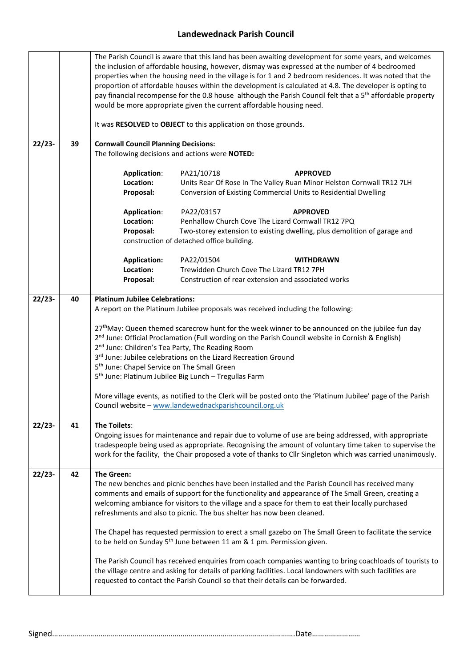|          |    | The Parish Council is aware that this land has been awaiting development for some years, and welcomes<br>the inclusion of affordable housing, however, dismay was expressed at the number of 4 bedroomed<br>properties when the housing need in the village is for 1 and 2 bedroom residences. It was noted that the<br>proportion of affordable houses within the development is calculated at 4.8. The developer is opting to<br>pay financial recompense for the 0.8 house although the Parish Council felt that a 5 <sup>th</sup> affordable property<br>would be more appropriate given the current affordable housing need.<br>It was RESOLVED to OBJECT to this application on those grounds. |                                                                                                                                                                                                                                                                                                                                                                                       |  |  |  |
|----------|----|------------------------------------------------------------------------------------------------------------------------------------------------------------------------------------------------------------------------------------------------------------------------------------------------------------------------------------------------------------------------------------------------------------------------------------------------------------------------------------------------------------------------------------------------------------------------------------------------------------------------------------------------------------------------------------------------------|---------------------------------------------------------------------------------------------------------------------------------------------------------------------------------------------------------------------------------------------------------------------------------------------------------------------------------------------------------------------------------------|--|--|--|
| $22/23-$ | 39 | <b>Cornwall Council Planning Decisions:</b><br>The following decisions and actions were NOTED:                                                                                                                                                                                                                                                                                                                                                                                                                                                                                                                                                                                                       |                                                                                                                                                                                                                                                                                                                                                                                       |  |  |  |
|          |    | <b>Application:</b><br>Location:<br>Proposal:                                                                                                                                                                                                                                                                                                                                                                                                                                                                                                                                                                                                                                                        | PA21/10718<br><b>APPROVED</b><br>Units Rear Of Rose In The Valley Ruan Minor Helston Cornwall TR12 7LH<br>Conversion of Existing Commercial Units to Residential Dwelling                                                                                                                                                                                                             |  |  |  |
|          |    | <b>Application:</b>                                                                                                                                                                                                                                                                                                                                                                                                                                                                                                                                                                                                                                                                                  | PA22/03157<br><b>APPROVED</b>                                                                                                                                                                                                                                                                                                                                                         |  |  |  |
|          |    | Location:                                                                                                                                                                                                                                                                                                                                                                                                                                                                                                                                                                                                                                                                                            | Penhallow Church Cove The Lizard Cornwall TR12 7PQ                                                                                                                                                                                                                                                                                                                                    |  |  |  |
|          |    | Proposal:                                                                                                                                                                                                                                                                                                                                                                                                                                                                                                                                                                                                                                                                                            | Two-storey extension to existing dwelling, plus demolition of garage and<br>construction of detached office building.                                                                                                                                                                                                                                                                 |  |  |  |
|          |    |                                                                                                                                                                                                                                                                                                                                                                                                                                                                                                                                                                                                                                                                                                      |                                                                                                                                                                                                                                                                                                                                                                                       |  |  |  |
|          |    | <b>Application:</b>                                                                                                                                                                                                                                                                                                                                                                                                                                                                                                                                                                                                                                                                                  | PA22/01504<br><b>WITHDRAWN</b>                                                                                                                                                                                                                                                                                                                                                        |  |  |  |
|          |    | Location:<br>Proposal:                                                                                                                                                                                                                                                                                                                                                                                                                                                                                                                                                                                                                                                                               | Trewidden Church Cove The Lizard TR12 7PH<br>Construction of rear extension and associated works                                                                                                                                                                                                                                                                                      |  |  |  |
|          |    |                                                                                                                                                                                                                                                                                                                                                                                                                                                                                                                                                                                                                                                                                                      |                                                                                                                                                                                                                                                                                                                                                                                       |  |  |  |
| $22/23-$ | 40 | <b>Platinum Jubilee Celebrations:</b>                                                                                                                                                                                                                                                                                                                                                                                                                                                                                                                                                                                                                                                                |                                                                                                                                                                                                                                                                                                                                                                                       |  |  |  |
|          |    |                                                                                                                                                                                                                                                                                                                                                                                                                                                                                                                                                                                                                                                                                                      | A report on the Platinum Jubilee proposals was received including the following:                                                                                                                                                                                                                                                                                                      |  |  |  |
|          |    | 27 <sup>th</sup> May: Queen themed scarecrow hunt for the week winner to be announced on the jubilee fun day<br>2 <sup>nd</sup> June: Official Proclamation (Full wording on the Parish Council website in Cornish & English)<br>2 <sup>nd</sup> June: Children's Tea Party, The Reading Room<br>3rd June: Jubilee celebrations on the Lizard Recreation Ground<br>5 <sup>th</sup> June: Chapel Service on The Small Green<br>5 <sup>th</sup> June: Platinum Jubilee Big Lunch - Tregullas Farm<br>More village events, as notified to the Clerk will be posted onto the 'Platinum Jubilee' page of the Parish<br>Council website - www.landewednackparishcouncil.org.uk                             |                                                                                                                                                                                                                                                                                                                                                                                       |  |  |  |
| $22/23-$ | 41 | The Toilets:                                                                                                                                                                                                                                                                                                                                                                                                                                                                                                                                                                                                                                                                                         |                                                                                                                                                                                                                                                                                                                                                                                       |  |  |  |
|          |    | Ongoing issues for maintenance and repair due to volume of use are being addressed, with appropriate<br>tradespeople being used as appropriate. Recognising the amount of voluntary time taken to supervise the<br>work for the facility, the Chair proposed a vote of thanks to Cllr Singleton which was carried unanimously.                                                                                                                                                                                                                                                                                                                                                                       |                                                                                                                                                                                                                                                                                                                                                                                       |  |  |  |
| $22/23-$ | 42 | The Green:                                                                                                                                                                                                                                                                                                                                                                                                                                                                                                                                                                                                                                                                                           | The new benches and picnic benches have been installed and the Parish Council has received many<br>comments and emails of support for the functionality and appearance of The Small Green, creating a<br>welcoming ambiance for visitors to the village and a space for them to eat their locally purchased<br>refreshments and also to picnic. The bus shelter has now been cleaned. |  |  |  |
|          |    | The Chapel has requested permission to erect a small gazebo on The Small Green to facilitate the service<br>to be held on Sunday 5 <sup>th</sup> June between 11 am & 1 pm. Permission given.                                                                                                                                                                                                                                                                                                                                                                                                                                                                                                        |                                                                                                                                                                                                                                                                                                                                                                                       |  |  |  |
|          |    | The Parish Council has received enquiries from coach companies wanting to bring coachloads of tourists to<br>the village centre and asking for details of parking facilities. Local landowners with such facilities are<br>requested to contact the Parish Council so that their details can be forwarded.                                                                                                                                                                                                                                                                                                                                                                                           |                                                                                                                                                                                                                                                                                                                                                                                       |  |  |  |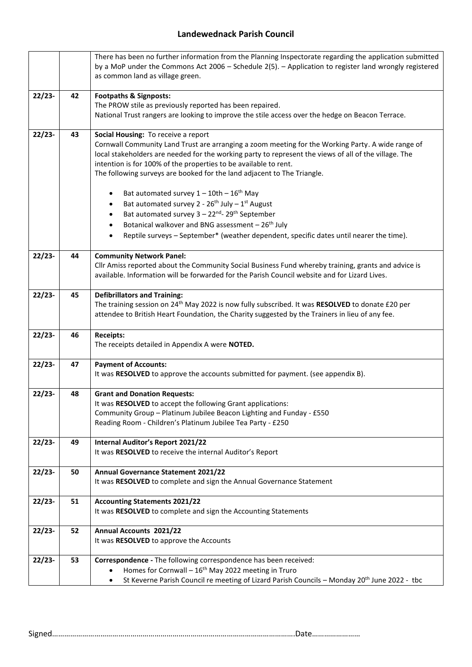|          |                                                                                                       | There has been no further information from the Planning Inspectorate regarding the application submitted     |  |  |  |  |  |
|----------|-------------------------------------------------------------------------------------------------------|--------------------------------------------------------------------------------------------------------------|--|--|--|--|--|
|          |                                                                                                       | by a MoP under the Commons Act 2006 - Schedule 2(5). - Application to register land wrongly registered       |  |  |  |  |  |
|          |                                                                                                       | as common land as village green.                                                                             |  |  |  |  |  |
|          |                                                                                                       |                                                                                                              |  |  |  |  |  |
| $22/23-$ | 42                                                                                                    | <b>Footpaths &amp; Signposts:</b>                                                                            |  |  |  |  |  |
|          | The PROW stile as previously reported has been repaired.                                              |                                                                                                              |  |  |  |  |  |
|          | National Trust rangers are looking to improve the stile access over the hedge on Beacon Terrace.      |                                                                                                              |  |  |  |  |  |
|          |                                                                                                       |                                                                                                              |  |  |  |  |  |
| $22/23-$ | 43                                                                                                    | Social Housing: To receive a report                                                                          |  |  |  |  |  |
|          |                                                                                                       | Cornwall Community Land Trust are arranging a zoom meeting for the Working Party. A wide range of            |  |  |  |  |  |
|          | local stakeholders are needed for the working party to represent the views of all of the village. The |                                                                                                              |  |  |  |  |  |
|          |                                                                                                       | intention is for 100% of the properties to be available to rent.                                             |  |  |  |  |  |
|          |                                                                                                       | The following surveys are booked for the land adjacent to The Triangle.                                      |  |  |  |  |  |
|          |                                                                                                       | Bat automated survey $1 - 10$ th - $16$ <sup>th</sup> May                                                    |  |  |  |  |  |
|          |                                                                                                       | Bat automated survey $2 - 26$ <sup>th</sup> July - 1 <sup>st</sup> August<br>$\bullet$                       |  |  |  |  |  |
|          |                                                                                                       | Bat automated survey 3 - 22 <sup>nd</sup> - 29 <sup>th</sup> September<br>$\bullet$                          |  |  |  |  |  |
|          |                                                                                                       | Botanical walkover and BNG assessment - 26 <sup>th</sup> July<br>$\bullet$                                   |  |  |  |  |  |
|          |                                                                                                       | Reptile surveys - September* (weather dependent, specific dates until nearer the time).                      |  |  |  |  |  |
|          |                                                                                                       |                                                                                                              |  |  |  |  |  |
| $22/23-$ | 44                                                                                                    | <b>Community Network Panel:</b>                                                                              |  |  |  |  |  |
|          |                                                                                                       | Cllr Amiss reported about the Community Social Business Fund whereby training, grants and advice is          |  |  |  |  |  |
|          |                                                                                                       | available. Information will be forwarded for the Parish Council website and for Lizard Lives.                |  |  |  |  |  |
|          |                                                                                                       |                                                                                                              |  |  |  |  |  |
| $22/23-$ | <b>Defibrillators and Training:</b>                                                                   |                                                                                                              |  |  |  |  |  |
|          |                                                                                                       | The training session on 24 <sup>th</sup> May 2022 is now fully subscribed. It was RESOLVED to donate £20 per |  |  |  |  |  |
|          |                                                                                                       | attendee to British Heart Foundation, the Charity suggested by the Trainers in lieu of any fee.              |  |  |  |  |  |
|          |                                                                                                       |                                                                                                              |  |  |  |  |  |
| $22/23-$ | 46                                                                                                    | <b>Receipts:</b>                                                                                             |  |  |  |  |  |
|          | The receipts detailed in Appendix A were NOTED.                                                       |                                                                                                              |  |  |  |  |  |
| $22/23-$ | 47                                                                                                    | <b>Payment of Accounts:</b>                                                                                  |  |  |  |  |  |
|          |                                                                                                       | It was RESOLVED to approve the accounts submitted for payment. (see appendix B).                             |  |  |  |  |  |
|          |                                                                                                       |                                                                                                              |  |  |  |  |  |
| $22/23-$ | 48                                                                                                    | <b>Grant and Donation Requests:</b>                                                                          |  |  |  |  |  |
|          |                                                                                                       | It was RESOLVED to accept the following Grant applications:                                                  |  |  |  |  |  |
|          |                                                                                                       | Community Group - Platinum Jubilee Beacon Lighting and Funday - £550                                         |  |  |  |  |  |
|          |                                                                                                       | Reading Room - Children's Platinum Jubilee Tea Party - £250                                                  |  |  |  |  |  |
|          |                                                                                                       |                                                                                                              |  |  |  |  |  |
| $22/23-$ | 49                                                                                                    | <b>Internal Auditor's Report 2021/22</b><br>It was RESOLVED to receive the internal Auditor's Report         |  |  |  |  |  |
|          |                                                                                                       |                                                                                                              |  |  |  |  |  |
| $22/23-$ | 50                                                                                                    | <b>Annual Governance Statement 2021/22</b>                                                                   |  |  |  |  |  |
|          |                                                                                                       | It was RESOLVED to complete and sign the Annual Governance Statement                                         |  |  |  |  |  |
|          |                                                                                                       |                                                                                                              |  |  |  |  |  |
| $22/23-$ | 51                                                                                                    | <b>Accounting Statements 2021/22</b>                                                                         |  |  |  |  |  |
|          |                                                                                                       | It was RESOLVED to complete and sign the Accounting Statements                                               |  |  |  |  |  |
|          |                                                                                                       |                                                                                                              |  |  |  |  |  |
| $22/23-$ | 52                                                                                                    | <b>Annual Accounts 2021/22</b>                                                                               |  |  |  |  |  |
|          |                                                                                                       | It was RESOLVED to approve the Accounts                                                                      |  |  |  |  |  |
|          |                                                                                                       |                                                                                                              |  |  |  |  |  |
| $22/23-$ | 53                                                                                                    | Correspondence - The following correspondence has been received:                                             |  |  |  |  |  |
|          | Homes for Cornwall - 16 <sup>th</sup> May 2022 meeting in Truro                                       |                                                                                                              |  |  |  |  |  |
|          |                                                                                                       | St Keverne Parish Council re meeting of Lizard Parish Councils - Monday 20 <sup>th</sup> June 2022 - tbc     |  |  |  |  |  |